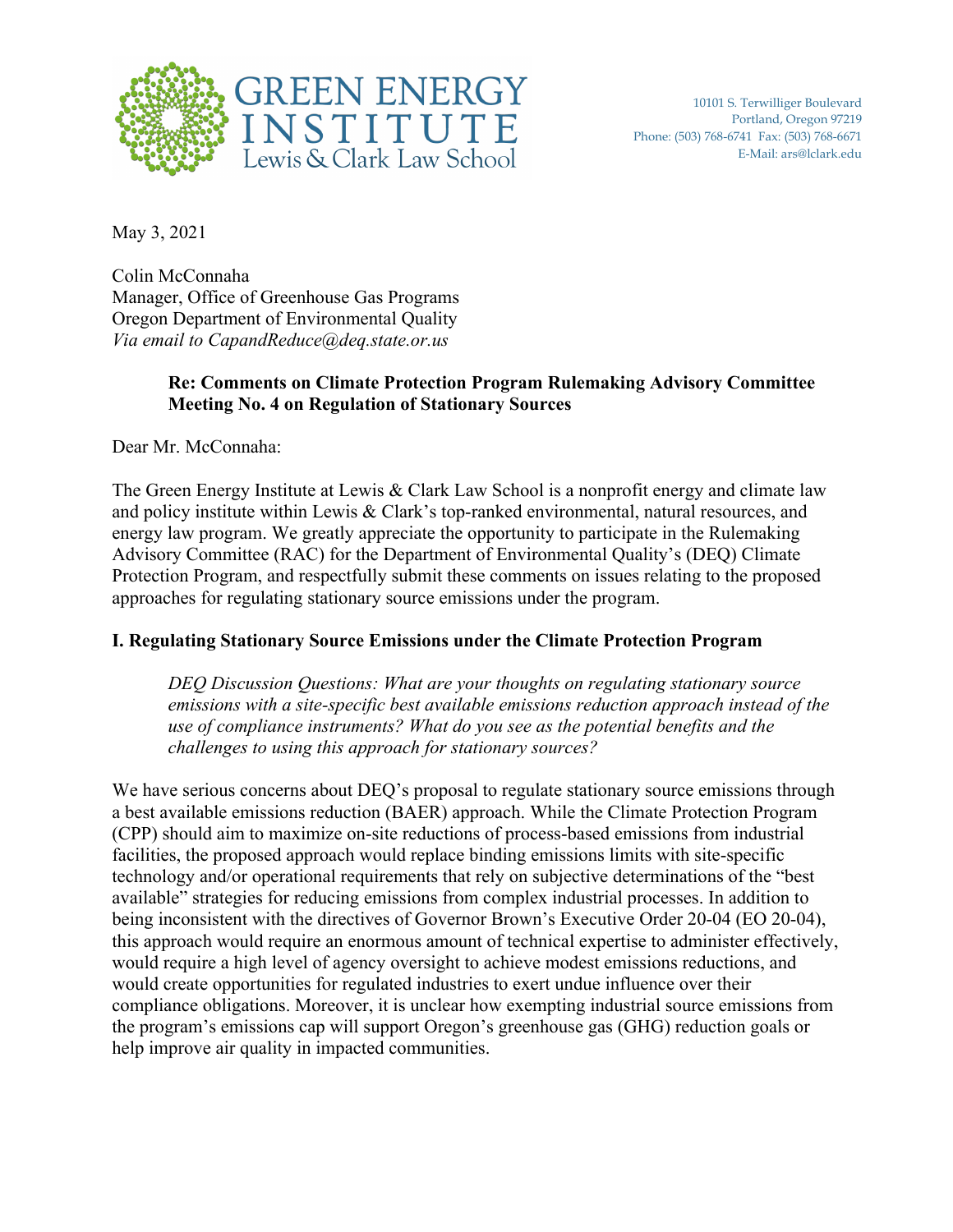

10101 S. Terwilliger Boulevard Portland, Oregon 97219 Phone: (503) 768-6741 Fax: (503) 768-6671 E-Mail: ars@lclark.edu

May 3, 2021

Colin McConnaha Manager, Office of Greenhouse Gas Programs Oregon Department of Environmental Quality *Via email to CapandReduce@deq.state.or.us* 

### **Re: Comments on Climate Protection Program Rulemaking Advisory Committee Meeting No. 4 on Regulation of Stationary Sources**

Dear Mr. McConnaha:

The Green Energy Institute at Lewis & Clark Law School is a nonprofit energy and climate law and policy institute within Lewis & Clark's top-ranked environmental, natural resources, and energy law program. We greatly appreciate the opportunity to participate in the Rulemaking Advisory Committee (RAC) for the Department of Environmental Quality's (DEQ) Climate Protection Program, and respectfully submit these comments on issues relating to the proposed approaches for regulating stationary source emissions under the program.

#### **I. Regulating Stationary Source Emissions under the Climate Protection Program**

*DEQ Discussion Questions: What are your thoughts on regulating stationary source emissions with a site-specific best available emissions reduction approach instead of the use of compliance instruments? What do you see as the potential benefits and the challenges to using this approach for stationary sources?*

We have serious concerns about DEQ's proposal to regulate stationary source emissions through a best available emissions reduction (BAER) approach. While the Climate Protection Program (CPP) should aim to maximize on-site reductions of process-based emissions from industrial facilities, the proposed approach would replace binding emissions limits with site-specific technology and/or operational requirements that rely on subjective determinations of the "best available" strategies for reducing emissions from complex industrial processes. In addition to being inconsistent with the directives of Governor Brown's Executive Order 20-04 (EO 20-04), this approach would require an enormous amount of technical expertise to administer effectively, would require a high level of agency oversight to achieve modest emissions reductions, and would create opportunities for regulated industries to exert undue influence over their compliance obligations. Moreover, it is unclear how exempting industrial source emissions from the program's emissions cap will support Oregon's greenhouse gas (GHG) reduction goals or help improve air quality in impacted communities.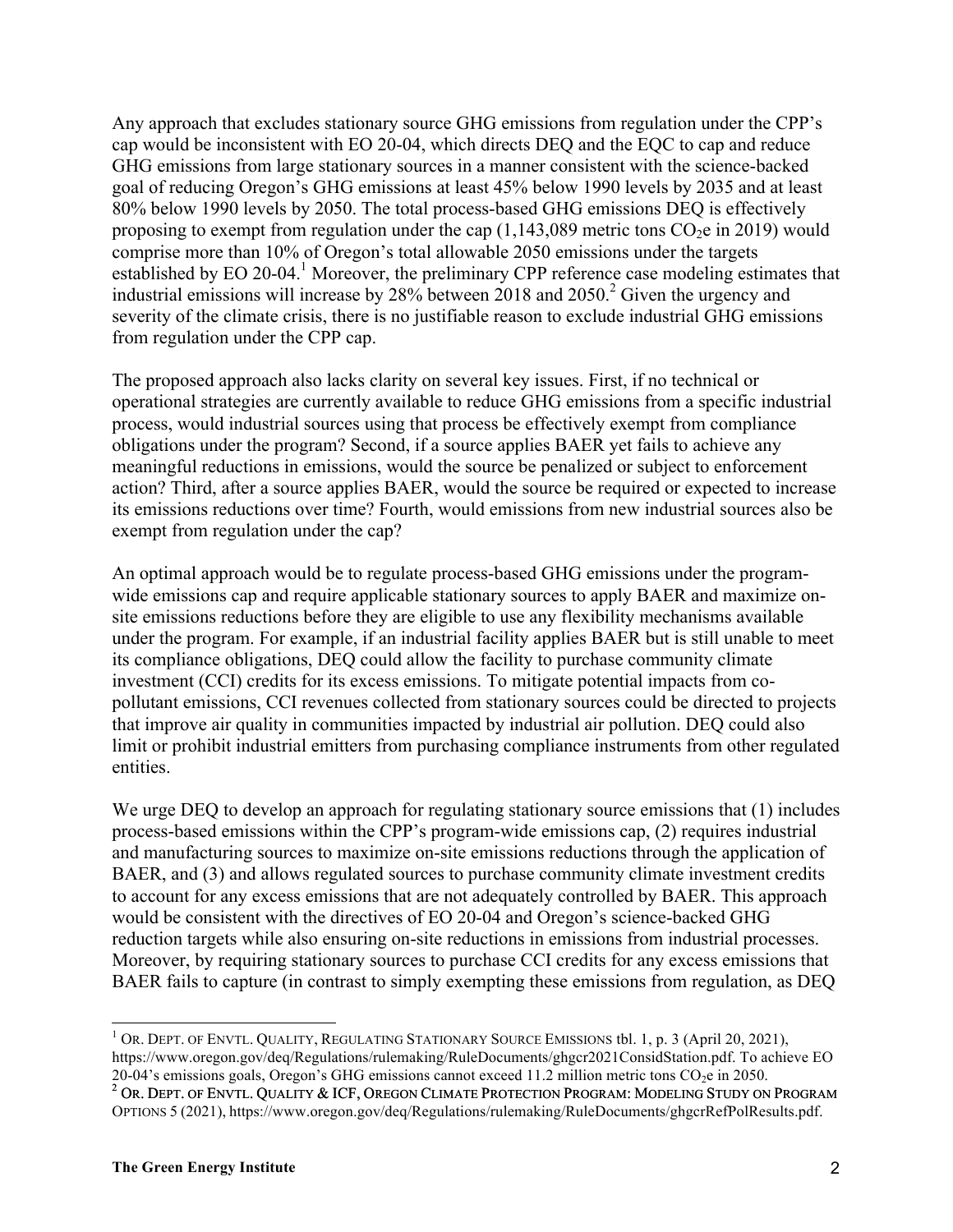Any approach that excludes stationary source GHG emissions from regulation under the CPP's cap would be inconsistent with EO 20-04, which directs DEQ and the EQC to cap and reduce GHG emissions from large stationary sources in a manner consistent with the science-backed goal of reducing Oregon's GHG emissions at least 45% below 1990 levels by 2035 and at least 80% below 1990 levels by 2050. The total process-based GHG emissions DEQ is effectively proposing to exempt from regulation under the cap  $(1,143,089)$  metric tons  $CO<sub>2</sub>e$  in 2019) would comprise more than 10% of Oregon's total allowable 2050 emissions under the targets established by EO 20-04.<sup>1</sup> Moreover, the preliminary CPP reference case modeling estimates that industrial emissions will increase by  $28\%$  between  $2018$  and  $2050<sup>2</sup>$  Given the urgency and severity of the climate crisis, there is no justifiable reason to exclude industrial GHG emissions from regulation under the CPP cap.

The proposed approach also lacks clarity on several key issues. First, if no technical or operational strategies are currently available to reduce GHG emissions from a specific industrial process, would industrial sources using that process be effectively exempt from compliance obligations under the program? Second, if a source applies BAER yet fails to achieve any meaningful reductions in emissions, would the source be penalized or subject to enforcement action? Third, after a source applies BAER, would the source be required or expected to increase its emissions reductions over time? Fourth, would emissions from new industrial sources also be exempt from regulation under the cap?

An optimal approach would be to regulate process-based GHG emissions under the programwide emissions cap and require applicable stationary sources to apply BAER and maximize onsite emissions reductions before they are eligible to use any flexibility mechanisms available under the program. For example, if an industrial facility applies BAER but is still unable to meet its compliance obligations, DEQ could allow the facility to purchase community climate investment (CCI) credits for its excess emissions. To mitigate potential impacts from copollutant emissions, CCI revenues collected from stationary sources could be directed to projects that improve air quality in communities impacted by industrial air pollution. DEQ could also limit or prohibit industrial emitters from purchasing compliance instruments from other regulated entities.

We urge DEQ to develop an approach for regulating stationary source emissions that (1) includes process-based emissions within the CPP's program-wide emissions cap, (2) requires industrial and manufacturing sources to maximize on-site emissions reductions through the application of BAER, and (3) and allows regulated sources to purchase community climate investment credits to account for any excess emissions that are not adequately controlled by BAER. This approach would be consistent with the directives of EO 20-04 and Oregon's science-backed GHG reduction targets while also ensuring on-site reductions in emissions from industrial processes. Moreover, by requiring stationary sources to purchase CCI credits for any excess emissions that BAER fails to capture (in contrast to simply exempting these emissions from regulation, as DEQ

<sup>&</sup>lt;sup>1</sup> OR. DEPT. OF ENVTL. QUALITY, REGULATING STATIONARY SOURCE EMISSIONS tbl. 1, p. 3 (April 20, 2021), https://www.oregon.gov/deq/Regulations/rulemaking/RuleDocuments/ghgcr2021ConsidStation.pdf. To achieve EO 20-04's emissions goals, Oregon's GHG emissions cannot exceed 11.2 million metric tons  $CO_2e$  in 2050.<br><sup>2</sup> OR. DEPT. OF ENVTL. QUALITY & ICF, OREGON CLIMATE PROTECTION PROGRAM: MODELING STUDY ON PROGRAM

OPTIONS 5 (2021), https://www.oregon.gov/deq/Regulations/rulemaking/RuleDocuments/ghgcrRefPolResults.pdf.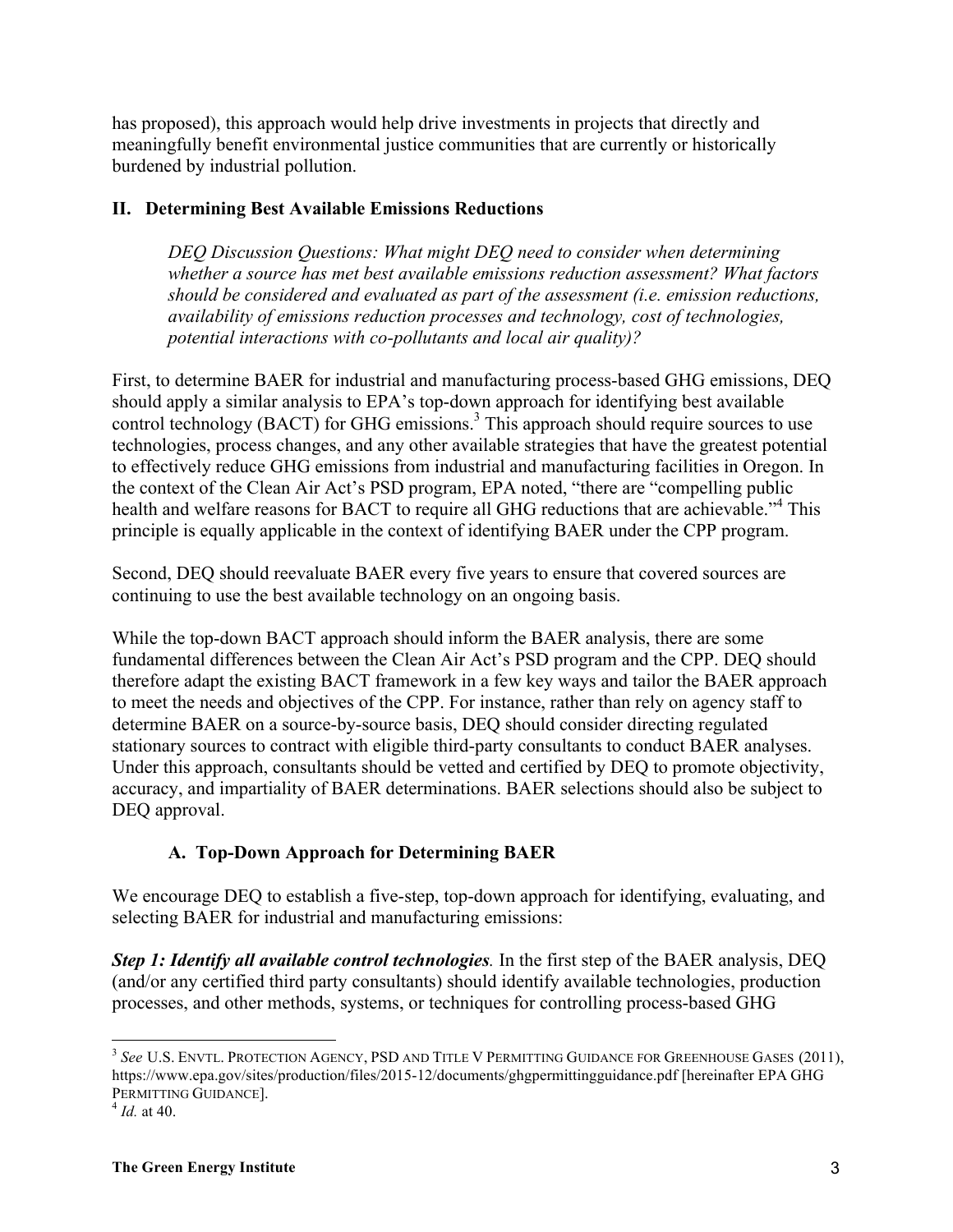has proposed), this approach would help drive investments in projects that directly and meaningfully benefit environmental justice communities that are currently or historically burdened by industrial pollution.

### **II. Determining Best Available Emissions Reductions**

*DEQ Discussion Questions: What might DEQ need to consider when determining whether a source has met best available emissions reduction assessment? What factors should be considered and evaluated as part of the assessment (i.e. emission reductions, availability of emissions reduction processes and technology, cost of technologies, potential interactions with co-pollutants and local air quality)?*

First, to determine BAER for industrial and manufacturing process-based GHG emissions, DEQ should apply a similar analysis to EPA's top-down approach for identifying best available control technology (BACT) for GHG emissions.<sup>3</sup> This approach should require sources to use technologies, process changes, and any other available strategies that have the greatest potential to effectively reduce GHG emissions from industrial and manufacturing facilities in Oregon. In the context of the Clean Air Act's PSD program, EPA noted, "there are "compelling public health and welfare reasons for BACT to require all GHG reductions that are achievable.<sup>4</sup> This principle is equally applicable in the context of identifying BAER under the CPP program.

Second, DEQ should reevaluate BAER every five years to ensure that covered sources are continuing to use the best available technology on an ongoing basis.

While the top-down BACT approach should inform the BAER analysis, there are some fundamental differences between the Clean Air Act's PSD program and the CPP. DEQ should therefore adapt the existing BACT framework in a few key ways and tailor the BAER approach to meet the needs and objectives of the CPP. For instance, rather than rely on agency staff to determine BAER on a source-by-source basis, DEQ should consider directing regulated stationary sources to contract with eligible third-party consultants to conduct BAER analyses. Under this approach, consultants should be vetted and certified by DEQ to promote objectivity, accuracy, and impartiality of BAER determinations. BAER selections should also be subject to DEQ approval.

# **A. Top-Down Approach for Determining BAER**

We encourage DEQ to establish a five-step, top-down approach for identifying, evaluating, and selecting BAER for industrial and manufacturing emissions:

*Step 1: Identify all available control technologies.* In the first step of the BAER analysis, DEQ (and/or any certified third party consultants) should identify available technologies, production processes, and other methods, systems, or techniques for controlling process-based GHG

<sup>&</sup>lt;sup>3</sup> See U.S. ENVTL. PROTECTION AGENCY, PSD AND TITLE V PERMITTING GUIDANCE FOR GREENHOUSE GASES (2011), https://www.epa.gov/sites/production/files/2015-12/documents/ghgpermittingguidance.pdf [hereinafter EPA GHG PERMITTING GUIDANCE]. 4 *Id.* at 40.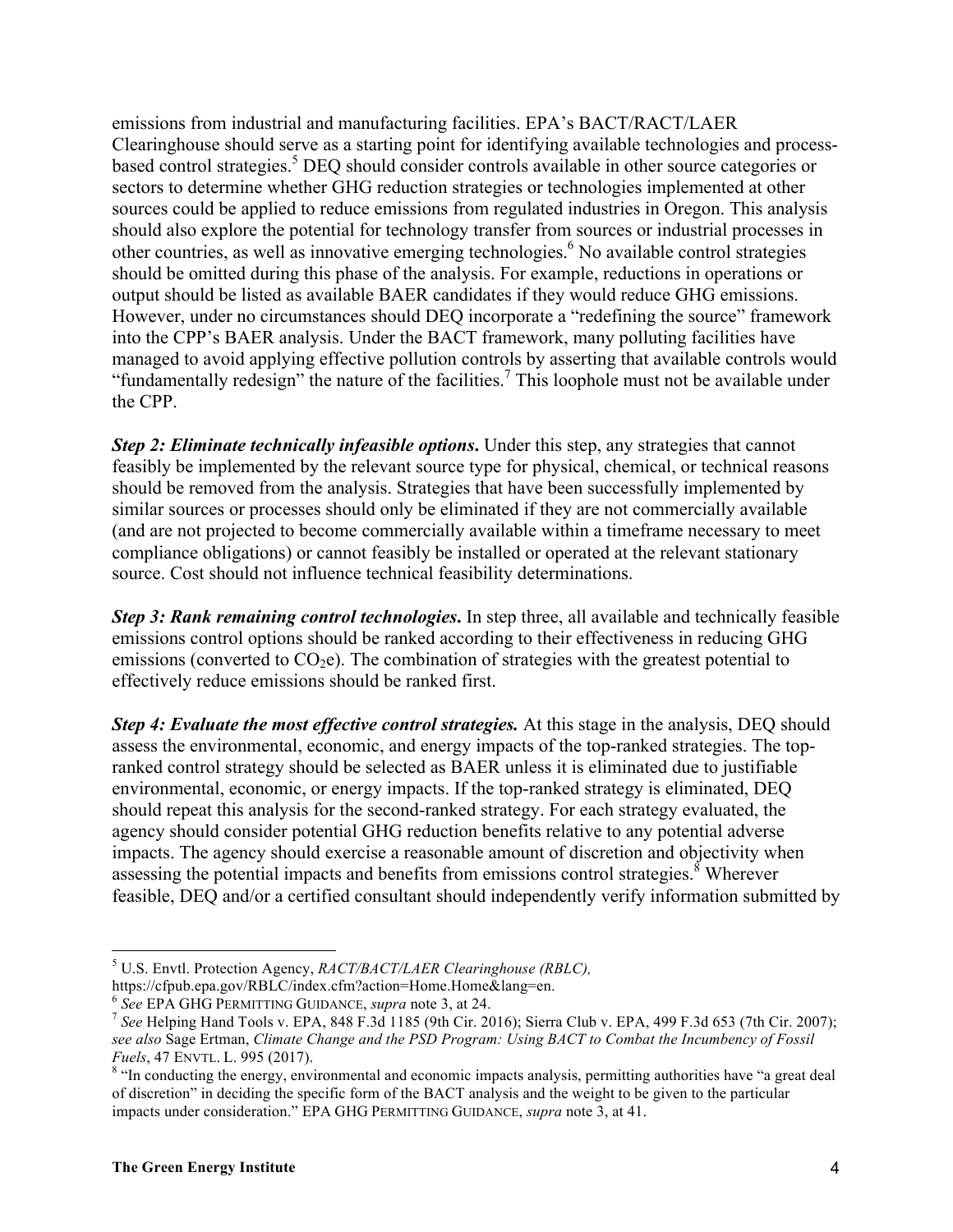emissions from industrial and manufacturing facilities. EPA's BACT/RACT/LAER Clearinghouse should serve as a starting point for identifying available technologies and processbased control strategies.<sup>5</sup> DEQ should consider controls available in other source categories or sectors to determine whether GHG reduction strategies or technologies implemented at other sources could be applied to reduce emissions from regulated industries in Oregon. This analysis should also explore the potential for technology transfer from sources or industrial processes in other countries, as well as innovative emerging technologies. <sup>6</sup> No available control strategies should be omitted during this phase of the analysis. For example, reductions in operations or output should be listed as available BAER candidates if they would reduce GHG emissions. However, under no circumstances should DEQ incorporate a "redefining the source" framework into the CPP's BAER analysis. Under the BACT framework, many polluting facilities have managed to avoid applying effective pollution controls by asserting that available controls would "fundamentally redesign" the nature of the facilities.<sup>7</sup> This loophole must not be available under the CPP.

*Step 2: Eliminate technically infeasible options***.** Under this step, any strategies that cannot feasibly be implemented by the relevant source type for physical, chemical, or technical reasons should be removed from the analysis. Strategies that have been successfully implemented by similar sources or processes should only be eliminated if they are not commercially available (and are not projected to become commercially available within a timeframe necessary to meet compliance obligations) or cannot feasibly be installed or operated at the relevant stationary source. Cost should not influence technical feasibility determinations.

*Step 3: Rank remaining control technologies***.** In step three, all available and technically feasible emissions control options should be ranked according to their effectiveness in reducing GHG emissions (converted to  $CO<sub>2</sub>e$ ). The combination of strategies with the greatest potential to effectively reduce emissions should be ranked first.

*Step 4: Evaluate the most effective control strategies.* At this stage in the analysis, DEQ should assess the environmental, economic, and energy impacts of the top-ranked strategies. The topranked control strategy should be selected as BAER unless it is eliminated due to justifiable environmental, economic, or energy impacts. If the top-ranked strategy is eliminated, DEQ should repeat this analysis for the second-ranked strategy. For each strategy evaluated, the agency should consider potential GHG reduction benefits relative to any potential adverse impacts. The agency should exercise a reasonable amount of discretion and objectivity when assessing the potential impacts and benefits from emissions control strategies.<sup>8</sup> Wherever feasible, DEQ and/or a certified consultant should independently verify information submitted by

<sup>5</sup> U.S. Envtl. Protection Agency, *RACT/BACT/LAER Clearinghouse (RBLC),*

https://cfpub.epa.gov/RBLC/index.cfm?action=Home.Home&lang=en.<br>
<sup>6</sup> See EPA GHG PERMITTING GUIDANCE, *supra* note 3, at 24.<br>
<sup>7</sup> See Helping Hand Tools v. EPA, 848 F.3d 1185 (9th Cir. 2016); Sierra Club v. EPA, 499 F.3d 65 *see also* Sage Ertman, *Climate Change and the PSD Program: Using BACT to Combat the Incumbency of Fossil Fuels*, 47 ENVTL. L. 995 (2017).<br><sup>8</sup> "In conducting the energy, environmental and economic impacts analysis, permitting authorities have "a great deal

of discretion" in deciding the specific form of the BACT analysis and the weight to be given to the particular impacts under consideration." EPA GHG PERMITTING GUIDANCE, *supra* note 3, at 41.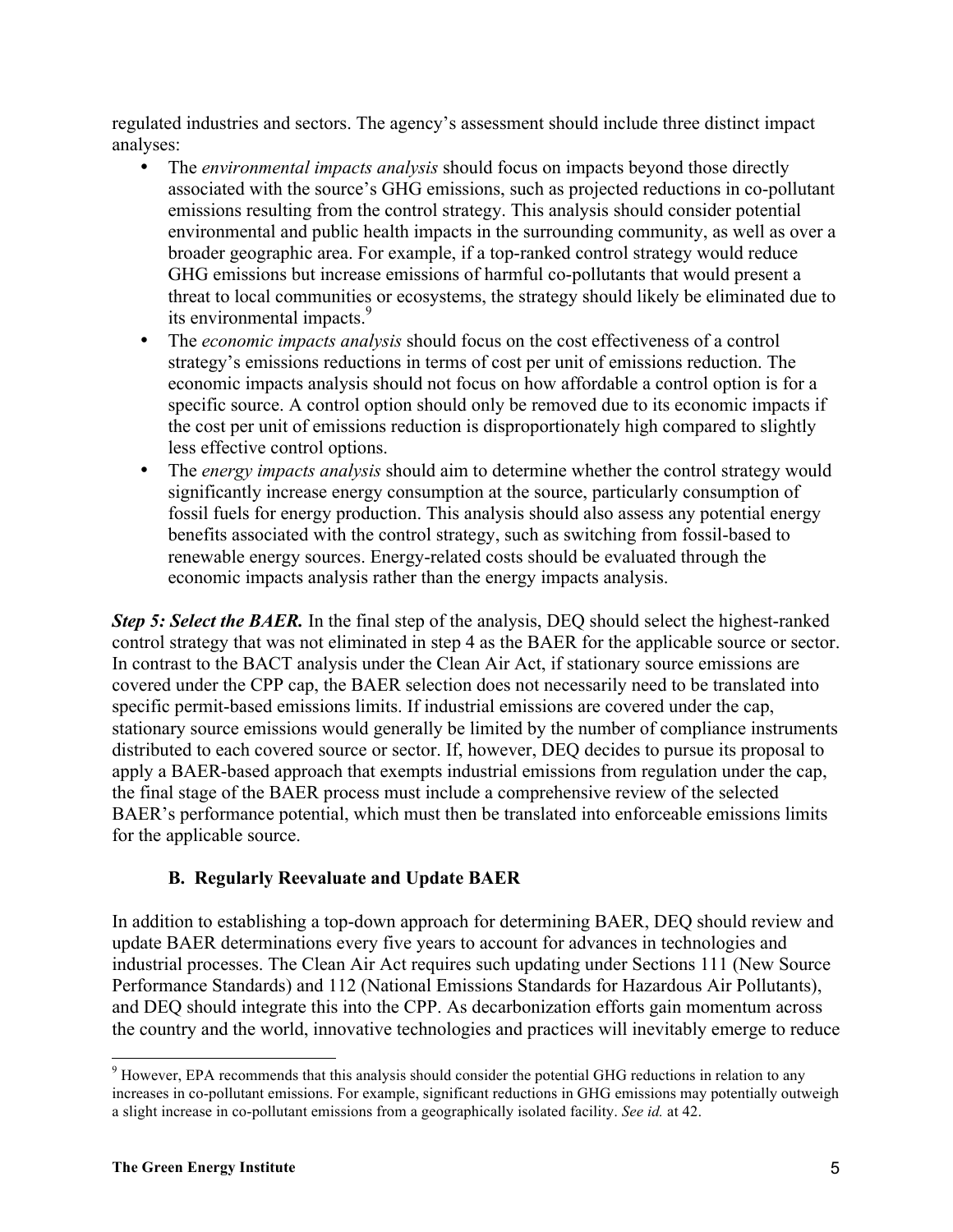regulated industries and sectors. The agency's assessment should include three distinct impact analyses:

- The *environmental impacts analysis* should focus on impacts beyond those directly associated with the source's GHG emissions, such as projected reductions in co-pollutant emissions resulting from the control strategy. This analysis should consider potential environmental and public health impacts in the surrounding community, as well as over a broader geographic area. For example, if a top-ranked control strategy would reduce GHG emissions but increase emissions of harmful co-pollutants that would present a threat to local communities or ecosystems, the strategy should likely be eliminated due to its environmental impacts.<sup>9</sup>
- The *economic impacts analysis* should focus on the cost effectiveness of a control strategy's emissions reductions in terms of cost per unit of emissions reduction. The economic impacts analysis should not focus on how affordable a control option is for a specific source. A control option should only be removed due to its economic impacts if the cost per unit of emissions reduction is disproportionately high compared to slightly less effective control options.
- The *energy impacts analysis* should aim to determine whether the control strategy would significantly increase energy consumption at the source, particularly consumption of fossil fuels for energy production. This analysis should also assess any potential energy benefits associated with the control strategy, such as switching from fossil-based to renewable energy sources. Energy-related costs should be evaluated through the economic impacts analysis rather than the energy impacts analysis.

*Step 5: Select the BAER.* In the final step of the analysis, DEQ should select the highest-ranked control strategy that was not eliminated in step 4 as the BAER for the applicable source or sector. In contrast to the BACT analysis under the Clean Air Act, if stationary source emissions are covered under the CPP cap, the BAER selection does not necessarily need to be translated into specific permit-based emissions limits. If industrial emissions are covered under the cap, stationary source emissions would generally be limited by the number of compliance instruments distributed to each covered source or sector. If, however, DEQ decides to pursue its proposal to apply a BAER-based approach that exempts industrial emissions from regulation under the cap, the final stage of the BAER process must include a comprehensive review of the selected BAER's performance potential, which must then be translated into enforceable emissions limits for the applicable source.

## **B. Regularly Reevaluate and Update BAER**

In addition to establishing a top-down approach for determining BAER, DEQ should review and update BAER determinations every five years to account for advances in technologies and industrial processes. The Clean Air Act requires such updating under Sections 111 (New Source Performance Standards) and 112 (National Emissions Standards for Hazardous Air Pollutants), and DEQ should integrate this into the CPP. As decarbonization efforts gain momentum across the country and the world, innovative technologies and practices will inevitably emerge to reduce

<sup>&</sup>lt;sup>9</sup> However, EPA recommends that this analysis should consider the potential GHG reductions in relation to any increases in co-pollutant emissions. For example, significant reductions in GHG emissions may potentially outweigh a slight increase in co-pollutant emissions from a geographically isolated facility. *See id.* at 42.